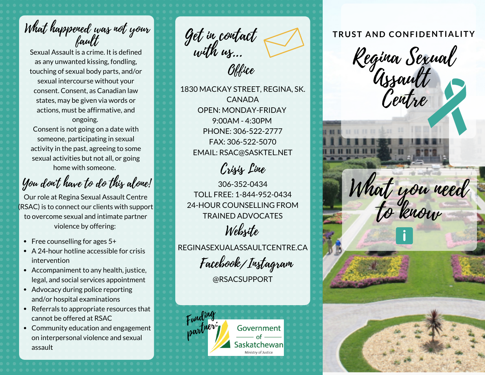What happened was not your fault

Sexual Assault is a crime. It is defined as any unwanted kissing, fondling, touching of sexual body parts, and/or sexual intercourse without your consent. Consent, as Canadian law states, may be given via words or actions, must be affirmative, and ongoing.

Consent is not going on a date with someone, participating in sexual activity in the past, agreeing to some sexual activities but not all, or going home with someone.

You don't have to do this alone!

Our role at Regina Sexual Assault Centre (RSAC) is to connect our clients with support to overcome sexual and intimate partner violence by offering:

- Free counselling for ages  $5+$
- A 24-hour hotline accessible for crisis intervention
- Accompaniment to any health, justice, legal, and social services appointment
- Advocacy during police reporting and/or hospital examinations
- Referrals to appropriate resources that cannot be offered at RSAC
- Community education and engagement on interpersonal violence and sexual assault

Office Get in contact with us...

1830 MACKAY STREET, REGINA, SK. CANADA OPEN: MONDAY-FRIDAY 9:00AM - 4:30PM PHONE: 306-522-2777 FAX: 306-522-5070 EMAIL: RSAC@SASKTEL.NET

Crisis Line

306-352-0434 TOLL FREE: 1-844-952-0434 24-HOUR COUNSELLING FROM TRAINED ADVOCATES Website

REGINASEXUALASSAULTCENTRE.CA

Facebook/Instagram

@RSACSUPPORT



# **TRUST AND CONFIDENTIALITY**

Regina Sexual Assault entre What you need to know